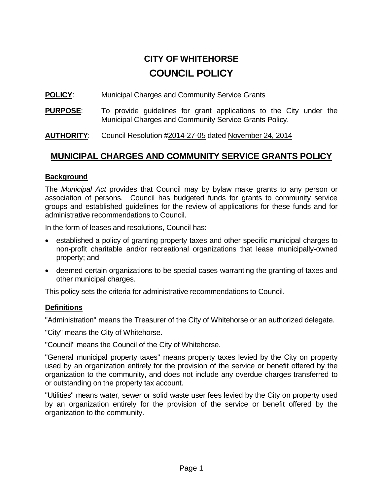# **CITY OF WHITEHORSE COUNCIL POLICY**

## **POLICY:** Municipal Charges and Community Service Grants

**PURPOSE**: To provide guidelines for grant applications to the City under the Municipal Charges and Community Service Grants Policy.

**AUTHORITY**: Council Resolution #2014-27-05 dated November 24, 2014

# **MUNICIPAL CHARGES AND COMMUNITY SERVICE GRANTS POLICY**

## **Background**

The *Municipal Act* provides that Council may by bylaw make grants to any person or association of persons. Council has budgeted funds for grants to community service groups and established guidelines for the review of applications for these funds and for administrative recommendations to Council.

In the form of leases and resolutions, Council has:

- established a policy of granting property taxes and other specific municipal charges to non-profit charitable and/or recreational organizations that lease municipally-owned property; and
- deemed certain organizations to be special cases warranting the granting of taxes and other municipal charges.

This policy sets the criteria for administrative recommendations to Council.

# **Definitions**

"Administration" means the Treasurer of the City of Whitehorse or an authorized delegate.

"City" means the City of Whitehorse.

"Council" means the Council of the City of Whitehorse.

"General municipal property taxes" means property taxes levied by the City on property used by an organization entirely for the provision of the service or benefit offered by the organization to the community, and does not include any overdue charges transferred to or outstanding on the property tax account.

"Utilities" means water, sewer or solid waste user fees levied by the City on property used by an organization entirely for the provision of the service or benefit offered by the organization to the community.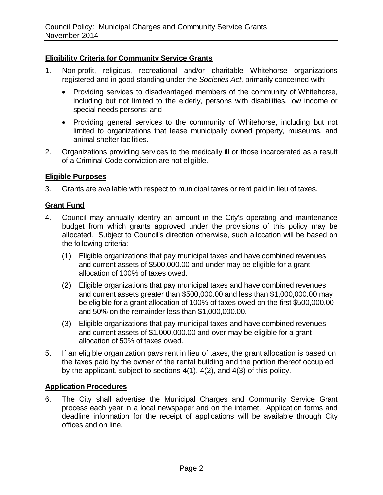#### **Eligibility Criteria for Community Service Grants**

- 1. Non-profit, religious, recreational and/or charitable Whitehorse organizations registered and in good standing under the *Societies Act*, primarily concerned with:
	- Providing services to disadvantaged members of the community of Whitehorse, including but not limited to the elderly, persons with disabilities, low income or special needs persons; and
	- Providing general services to the community of Whitehorse, including but not limited to organizations that lease municipally owned property, museums, and animal shelter facilities.
- 2. Organizations providing services to the medically ill or those incarcerated as a result of a Criminal Code conviction are not eligible.

#### **Eligible Purposes**

3. Grants are available with respect to municipal taxes or rent paid in lieu of taxes.

#### **Grant Fund**

- 4. Council may annually identify an amount in the City's operating and maintenance budget from which grants approved under the provisions of this policy may be allocated. Subject to Council's direction otherwise, such allocation will be based on the following criteria:
	- (1) Eligible organizations that pay municipal taxes and have combined revenues and current assets of \$500,000.00 and under may be eligible for a grant allocation of 100% of taxes owed.
	- (2) Eligible organizations that pay municipal taxes and have combined revenues and current assets greater than \$500,000.00 and less than \$1,000,000.00 may be eligible for a grant allocation of 100% of taxes owed on the first \$500,000.00 and 50% on the remainder less than \$1,000,000.00.
	- (3) Eligible organizations that pay municipal taxes and have combined revenues and current assets of \$1,000,000.00 and over may be eligible for a grant allocation of 50% of taxes owed.
- 5. If an eligible organization pays rent in lieu of taxes, the grant allocation is based on the taxes paid by the owner of the rental building and the portion thereof occupied by the applicant, subject to sections 4(1), 4(2), and 4(3) of this policy.

#### **Application Procedures**

6. The City shall advertise the Municipal Charges and Community Service Grant process each year in a local newspaper and on the internet. Application forms and deadline information for the receipt of applications will be available through City offices and on line.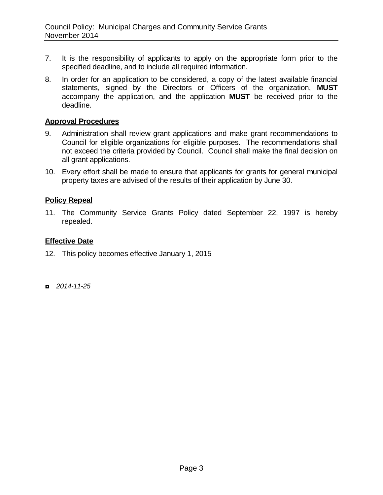- 7. It is the responsibility of applicants to apply on the appropriate form prior to the specified deadline, and to include all required information.
- 8. In order for an application to be considered, a copy of the latest available financial statements, signed by the Directors or Officers of the organization, **MUST** accompany the application, and the application **MUST** be received prior to the deadline.

#### **Approval Procedures**

- 9. Administration shall review grant applications and make grant recommendations to Council for eligible organizations for eligible purposes. The recommendations shall not exceed the criteria provided by Council. Council shall make the final decision on all grant applications.
- 10. Every effort shall be made to ensure that applicants for grants for general municipal property taxes are advised of the results of their application by June 30.

#### **Policy Repeal**

11. The Community Service Grants Policy dated September 22, 1997 is hereby repealed.

#### **Effective Date**

- 12. This policy becomes effective January 1, 2015
- ◘ *2014-11-25*